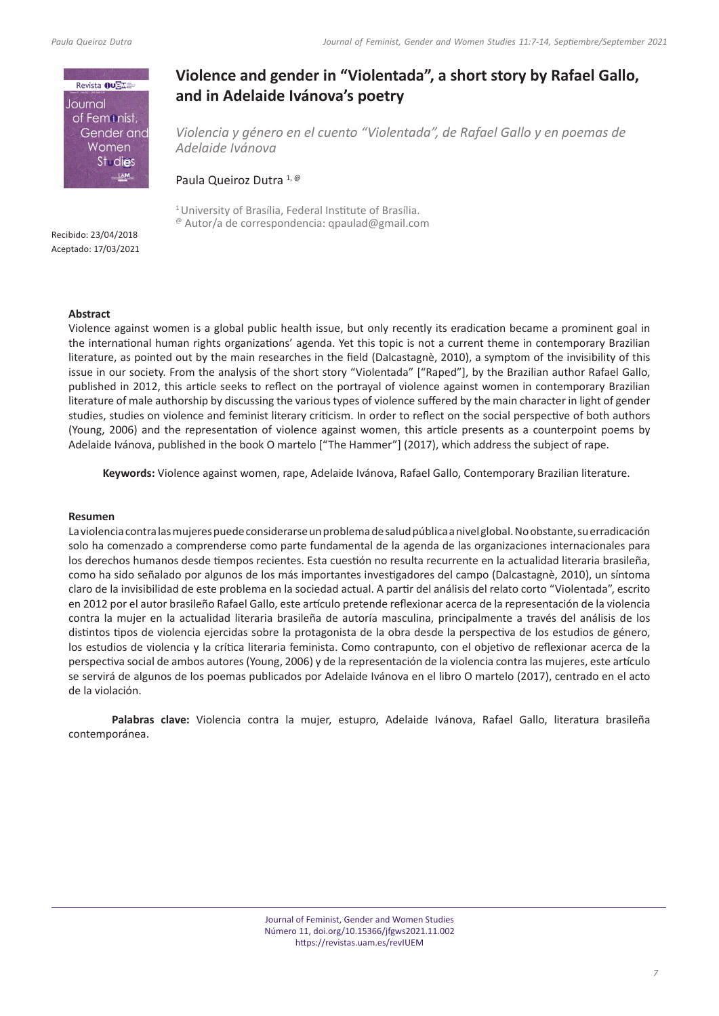

# **Violence and gender in "Violentada", a short story by Rafael Gallo, and in Adelaide Ivánova's poetry**

*Violencia y género en el cuento "Violentada", de Rafael Gallo y en poemas de Adelaide Ivánova*

Paula Queiroz Dutra 1, @

<sup>1</sup> University of Brasília, Federal Institute of Brasília. @ Autor/a de correspondencia: qpaulad@gmail.com

Recibido: 23/04/2018 Aceptado: 17/03/2021

# **Abstract**

Violence against women is a global public health issue, but only recently its eradication became a prominent goal in the international human rights organizations' agenda. Yet this topic is not a current theme in contemporary Brazilian literature, as pointed out by the main researches in the field (Dalcastagnè, 2010), a symptom of the invisibility of this issue in our society. From the analysis of the short story "Violentada" ["Raped"], by the Brazilian author Rafael Gallo, published in 2012, this article seeks to reflect on the portrayal of violence against women in contemporary Brazilian literature of male authorship by discussing the various types of violence suffered by the main character in light of gender studies, studies on violence and feminist literary criticism. In order to reflect on the social perspective of both authors (Young, 2006) and the representation of violence against women, this article presents as a counterpoint poems by Adelaide Ivánova, published in the book O martelo ["The Hammer"] (2017), which address the subject of rape.

**Keywords:** Violence against women, rape, Adelaide Ivánova, Rafael Gallo, Contemporary Brazilian literature.

# **Resumen**

La violencia contra las mujeres puede considerarse un problema de salud pública a nivel global. No obstante, su erradicación solo ha comenzado a comprenderse como parte fundamental de la agenda de las organizaciones internacionales para los derechos humanos desde tiempos recientes. Esta cuestión no resulta recurrente en la actualidad literaria brasileña, como ha sido señalado por algunos de los más importantes investigadores del campo (Dalcastagnè, 2010), un síntoma claro de la invisibilidad de este problema en la sociedad actual. A partir del análisis del relato corto "Violentada", escrito en 2012 por el autor brasileño Rafael Gallo, este artículo pretende reflexionar acerca de la representación de la violencia contra la mujer en la actualidad literaria brasileña de autoría masculina, principalmente a través del análisis de los distintos tipos de violencia ejercidas sobre la protagonista de la obra desde la perspectiva de los estudios de género, los estudios de violencia y la crítica literaria feminista. Como contrapunto, con el objetivo de reflexionar acerca de la perspectiva social de ambos autores (Young, 2006) y de la representación de la violencia contra las mujeres, este artículo se servirá de algunos de los poemas publicados por Adelaide Ivánova en el libro O martelo (2017), centrado en el acto de la violación.

**Palabras clave:** Violencia contra la mujer, estupro, Adelaide Ivánova, Rafael Gallo, literatura brasileña contemporánea.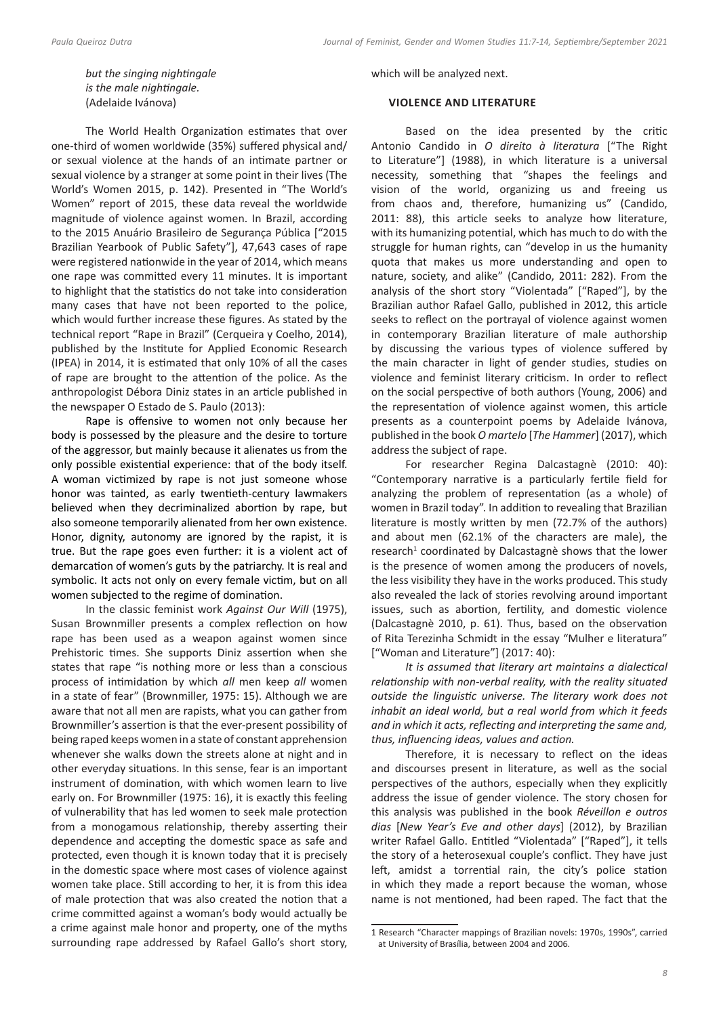*but the singing nightingale is the male nightingale.* (Adelaide Ivánova)

The World Health Organization estimates that over one-third of women worldwide (35%) suffered physical and/ or sexual violence at the hands of an intimate partner or sexual violence by a stranger at some point in their lives (The World's Women 2015, p. 142). Presented in "The World's Women" report of 2015, these data reveal the worldwide magnitude of violence against women. In Brazil, according to the 2015 Anuário Brasileiro de Segurança Pública ["2015 Brazilian Yearbook of Public Safety"], 47,643 cases of rape were registered nationwide in the year of 2014, which means one rape was committed every 11 minutes. It is important to highlight that the statistics do not take into consideration many cases that have not been reported to the police, which would further increase these figures. As stated by the technical report "Rape in Brazil" (Cerqueira y Coelho, 2014), published by the Institute for Applied Economic Research (IPEA) in 2014, it is estimated that only 10% of all the cases of rape are brought to the attention of the police. As the anthropologist Débora Diniz states in an article published in the newspaper O Estado de S. Paulo (2013):

Rape is offensive to women not only because her body is possessed by the pleasure and the desire to torture of the aggressor, but mainly because it alienates us from the only possible existential experience: that of the body itself. A woman victimized by rape is not just someone whose honor was tainted, as early twentieth-century lawmakers believed when they decriminalized abortion by rape, but also someone temporarily alienated from her own existence. Honor, dignity, autonomy are ignored by the rapist, it is true. But the rape goes even further: it is a violent act of demarcation of women's guts by the patriarchy. It is real and symbolic. It acts not only on every female victim, but on all women subjected to the regime of domination.

In the classic feminist work *Against Our Will* (1975), Susan Brownmiller presents a complex reflection on how rape has been used as a weapon against women since Prehistoric times. She supports Diniz assertion when she states that rape "is nothing more or less than a conscious process of intimidation by which *all* men keep *all* women in a state of fear" (Brownmiller, 1975: 15). Although we are aware that not all men are rapists, what you can gather from Brownmiller's assertion is that the ever-present possibility of being raped keeps women in a state of constant apprehension whenever she walks down the streets alone at night and in other everyday situations. In this sense, fear is an important instrument of domination, with which women learn to live early on. For Brownmiller (1975: 16), it is exactly this feeling of vulnerability that has led women to seek male protection from a monogamous relationship, thereby asserting their dependence and accepting the domestic space as safe and protected, even though it is known today that it is precisely in the domestic space where most cases of violence against women take place. Still according to her, it is from this idea of male protection that was also created the notion that a crime committed against a woman's body would actually be a crime against male honor and property, one of the myths surrounding rape addressed by Rafael Gallo's short story,

which will be analyzed next.

#### **VIOLENCE AND LITERATURE**

Based on the idea presented by the critic Antonio Candido in *O direito à literatura* ["The Right to Literature"] (1988), in which literature is a universal necessity, something that "shapes the feelings and vision of the world, organizing us and freeing us from chaos and, therefore, humanizing us" (Candido, 2011: 88), this article seeks to analyze how literature, with its humanizing potential, which has much to do with the struggle for human rights, can "develop in us the humanity quota that makes us more understanding and open to nature, society, and alike" (Candido, 2011: 282). From the analysis of the short story "Violentada" ["Raped"], by the Brazilian author Rafael Gallo, published in 2012, this article seeks to reflect on the portrayal of violence against women in contemporary Brazilian literature of male authorship by discussing the various types of violence suffered by the main character in light of gender studies, studies on violence and feminist literary criticism. In order to reflect on the social perspective of both authors (Young, 2006) and the representation of violence against women, this article presents as a counterpoint poems by Adelaide Ivánova, published in the book *O martelo* [*The Hammer*] (2017), which address the subject of rape.

For researcher Regina Dalcastagnè (2010: 40): "Contemporary narrative is a particularly fertile field for analyzing the problem of representation (as a whole) of women in Brazil today". In addition to revealing that Brazilian literature is mostly written by men (72.7% of the authors) and about men (62.1% of the characters are male), the research<sup>1</sup> coordinated by Dalcastagnè shows that the lower is the presence of women among the producers of novels, the less visibility they have in the works produced. This study also revealed the lack of stories revolving around important issues, such as abortion, fertility, and domestic violence (Dalcastagnè 2010, p. 61). Thus, based on the observation of Rita Terezinha Schmidt in the essay "Mulher e literatura" ["Woman and Literature"] (2017: 40):

*It is assumed that literary art maintains a dialectical relationship with non-verbal reality, with the reality situated outside the linguistic universe. The literary work does not inhabit an ideal world, but a real world from which it feeds and in which it acts, reflecting and interpreting the same and, thus, influencing ideas, values and action.*

Therefore, it is necessary to reflect on the ideas and discourses present in literature, as well as the social perspectives of the authors, especially when they explicitly address the issue of gender violence. The story chosen for this analysis was published in the book *Réveillon e outros dias* [*New Year's Eve and other days*] (2012), by Brazilian writer Rafael Gallo. Entitled "Violentada" ["Raped"], it tells the story of a heterosexual couple's conflict. They have just left, amidst a torrential rain, the city's police station in which they made a report because the woman, whose name is not mentioned, had been raped. The fact that the

<sup>1</sup> Research "Character mappings of Brazilian novels: 1970s, 1990s", carried at University of Brasília, between 2004 and 2006.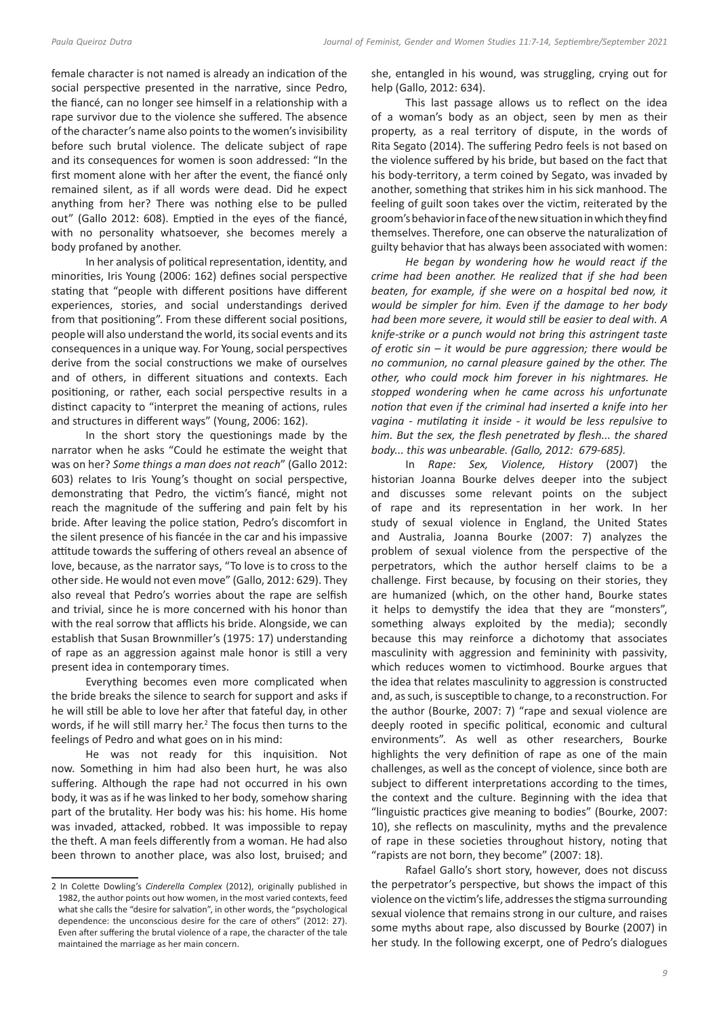female character is not named is already an indication of the social perspective presented in the narrative, since Pedro, the fiancé, can no longer see himself in a relationship with a rape survivor due to the violence she suffered. The absence of the character's name also points to the women's invisibility before such brutal violence. The delicate subject of rape and its consequences for women is soon addressed: "In the first moment alone with her after the event, the fiancé only remained silent, as if all words were dead. Did he expect anything from her? There was nothing else to be pulled out" (Gallo 2012: 608). Emptied in the eyes of the fiancé, with no personality whatsoever, she becomes merely a body profaned by another.

In her analysis of political representation, identity, and minorities, Iris Young (2006: 162) defines social perspective stating that "people with different positions have different experiences, stories, and social understandings derived from that positioning". From these different social positions, people will also understand the world, its social events and its consequences in a unique way. For Young, social perspectives derive from the social constructions we make of ourselves and of others, in different situations and contexts. Each positioning, or rather, each social perspective results in a distinct capacity to "interpret the meaning of actions, rules and structures in different ways" (Young, 2006: 162).

In the short story the questionings made by the narrator when he asks "Could he estimate the weight that was on her? *Some things a man does not reach*" (Gallo 2012: 603) relates to Iris Young's thought on social perspective, demonstrating that Pedro, the victim's fiancé, might not reach the magnitude of the suffering and pain felt by his bride. After leaving the police station, Pedro's discomfort in the silent presence of his fiancée in the car and his impassive attitude towards the suffering of others reveal an absence of love, because, as the narrator says, "To love is to cross to the other side. He would not even move" (Gallo, 2012: 629). They also reveal that Pedro's worries about the rape are selfish and trivial, since he is more concerned with his honor than with the real sorrow that afflicts his bride. Alongside, we can establish that Susan Brownmiller's (1975: 17) understanding of rape as an aggression against male honor is still a very present idea in contemporary times.

Everything becomes even more complicated when the bride breaks the silence to search for support and asks if he will still be able to love her after that fateful day, in other words, if he will still marry her.<sup>2</sup> The focus then turns to the feelings of Pedro and what goes on in his mind:

He was not ready for this inquisition. Not now. Something in him had also been hurt, he was also suffering. Although the rape had not occurred in his own body, it was as if he was linked to her body, somehow sharing part of the brutality. Her body was his: his home. His home was invaded, attacked, robbed. It was impossible to repay the theft. A man feels differently from a woman. He had also been thrown to another place, was also lost, bruised; and

she, entangled in his wound, was struggling, crying out for help (Gallo, 2012: 634).

This last passage allows us to reflect on the idea of a woman's body as an object, seen by men as their property, as a real territory of dispute, in the words of Rita Segato (2014). The suffering Pedro feels is not based on the violence suffered by his bride, but based on the fact that his body-territory, a term coined by Segato, was invaded by another, something that strikes him in his sick manhood. The feeling of guilt soon takes over the victim, reiterated by the groom's behavior in face of the new situation in which they find themselves. Therefore, one can observe the naturalization of guilty behavior that has always been associated with women:

*He began by wondering how he would react if the crime had been another. He realized that if she had been beaten, for example, if she were on a hospital bed now, it would be simpler for him. Even if the damage to her body had been more severe, it would still be easier to deal with. A knife-strike or a punch would not bring this astringent taste of erotic sin – it would be pure aggression; there would be no communion, no carnal pleasure gained by the other. The other, who could mock him forever in his nightmares. He stopped wondering when he came across his unfortunate notion that even if the criminal had inserted a knife into her vagina - mutilating it inside - it would be less repulsive to him. But the sex, the flesh penetrated by flesh... the shared body... this was unbearable. (Gallo, 2012: 679-685).*

In *Rape: Sex, Violence, History* (2007) the historian Joanna Bourke delves deeper into the subject and discusses some relevant points on the subject of rape and its representation in her work. In her study of sexual violence in England, the United States and Australia, Joanna Bourke (2007: 7) analyzes the problem of sexual violence from the perspective of the perpetrators, which the author herself claims to be a challenge. First because, by focusing on their stories, they are humanized (which, on the other hand, Bourke states it helps to demystify the idea that they are "monsters", something always exploited by the media); secondly because this may reinforce a dichotomy that associates masculinity with aggression and femininity with passivity, which reduces women to victimhood. Bourke argues that the idea that relates masculinity to aggression is constructed and, as such, is susceptible to change, to a reconstruction. For the author (Bourke, 2007: 7) "rape and sexual violence are deeply rooted in specific political, economic and cultural environments". As well as other researchers, Bourke highlights the very definition of rape as one of the main challenges, as well as the concept of violence, since both are subject to different interpretations according to the times, the context and the culture. Beginning with the idea that "linguistic practices give meaning to bodies" (Bourke, 2007: 10), she reflects on masculinity, myths and the prevalence of rape in these societies throughout history, noting that "rapists are not born, they become" (2007: 18).

Rafael Gallo's short story, however, does not discuss the perpetrator's perspective, but shows the impact of this violence on the victim's life, addresses the stigma surrounding sexual violence that remains strong in our culture, and raises some myths about rape, also discussed by Bourke (2007) in her study. In the following excerpt, one of Pedro's dialogues

<sup>2</sup> In Colette Dowling's *Cinderella Complex* (2012), originally published in 1982, the author points out how women, in the most varied contexts, feed what she calls the "desire for salvation", in other words, the "psychological dependence: the unconscious desire for the care of others" (2012: 27). Even after suffering the brutal violence of a rape, the character of the tale maintained the marriage as her main concern.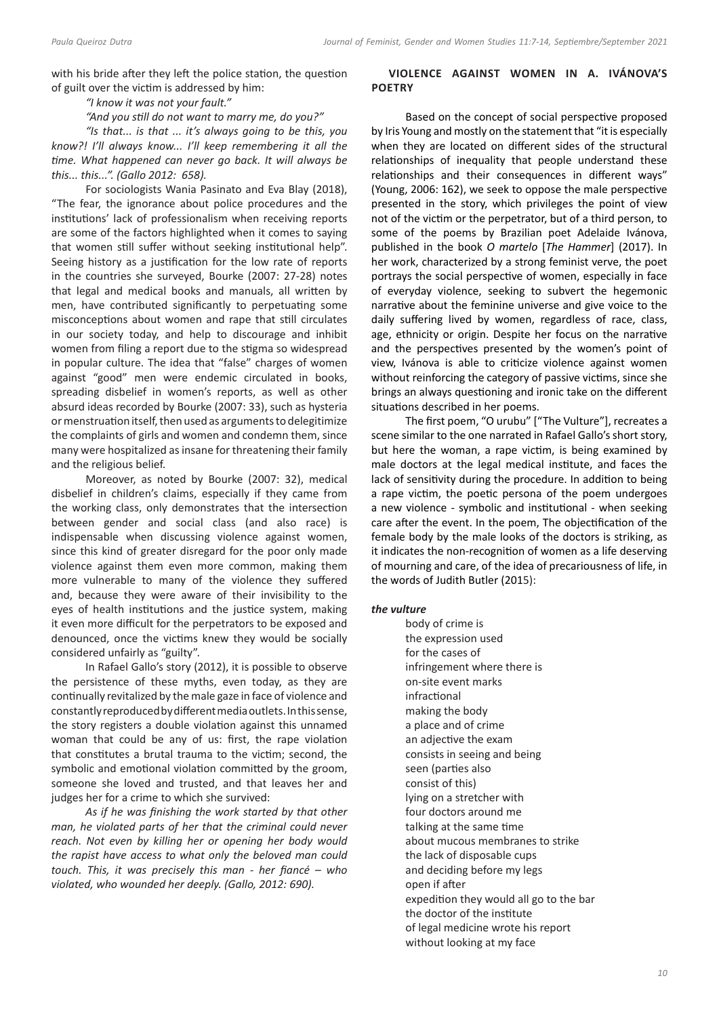with his bride after they left the police station, the question of guilt over the victim is addressed by him:

*"I know it was not your fault."*

*"And you still do not want to marry me, do you?"*

*"Is that... is that ... it's always going to be this, you know?! I'll always know... I'll keep remembering it all the time. What happened can never go back. It will always be this... this...". (Gallo 2012: 658).*

For sociologists Wania Pasinato and Eva Blay (2018), "The fear, the ignorance about police procedures and the institutions' lack of professionalism when receiving reports are some of the factors highlighted when it comes to saying that women still suffer without seeking institutional help". Seeing history as a justification for the low rate of reports in the countries she surveyed, Bourke (2007: 27-28) notes that legal and medical books and manuals, all written by men, have contributed significantly to perpetuating some misconceptions about women and rape that still circulates in our society today, and help to discourage and inhibit women from filing a report due to the stigma so widespread in popular culture. The idea that "false" charges of women against "good" men were endemic circulated in books, spreading disbelief in women's reports, as well as other absurd ideas recorded by Bourke (2007: 33), such as hysteria or menstruation itself, then used as arguments to delegitimize the complaints of girls and women and condemn them, since many were hospitalized as insane for threatening their family and the religious belief.

Moreover, as noted by Bourke (2007: 32), medical disbelief in children's claims, especially if they came from the working class, only demonstrates that the intersection between gender and social class (and also race) is indispensable when discussing violence against women, since this kind of greater disregard for the poor only made violence against them even more common, making them more vulnerable to many of the violence they suffered and, because they were aware of their invisibility to the eyes of health institutions and the justice system, making it even more difficult for the perpetrators to be exposed and denounced, once the victims knew they would be socially considered unfairly as "guilty".

In Rafael Gallo's story (2012), it is possible to observe the persistence of these myths, even today, as they are continually revitalized by themale gaze in face of violence and constantly reproducedby different media outlets.In this sense, the story registers a double violation against this unnamed woman that could be any of us: first, the rape violation that constitutes a brutal trauma to the victim; second, the symbolic and emotional violation committed by the groom, someone she loved and trusted, and that leaves her and judges her for a crime to which she survived:

*As if he was finishing the work started by that other man, he violated parts of her that the criminal could never reach. Not even by killing her or opening her body would the rapist have access to what only the beloved man could touch. This, it was precisely this man - her fiancé – who violated, who wounded her deeply. (Gallo, 2012: 690).*

# **VIOLENCE AGAINST WOMEN IN A. IVÁNOVA'S POETRY**

Based on the concept of social perspective proposed by Iris Young and mostly on the statement that "it is especially when they are located on different sides of the structural relationships of inequality that people understand these relationships and their consequences in different ways" (Young, 2006: 162), we seek to oppose the male perspective presented in the story, which privileges the point of view not of the victim or the perpetrator, but of a third person, to some of the poems by Brazilian poet Adelaide Ivánova, published in the book *O martelo* [*The Hammer*] (2017). In her work, characterized by a strong feminist verve, the poet portrays the social perspective of women, especially in face of everyday violence, seeking to subvert the hegemonic narrative about the feminine universe and give voice to the daily suffering lived by women, regardless of race, class, age, ethnicity or origin. Despite her focus on the narrative and the perspectives presented by the women's point of view, Ivánova is able to criticize violence against women without reinforcing the category of passive victims, since she brings an always questioning and ironic take on the different situations described in her poems.

The first poem, "O urubu" ["The Vulture"], recreates a scene similar to the one narrated in Rafael Gallo's short story, but here the woman, a rape victim, is being examined by male doctors at the legal medical institute, and faces the lack of sensitivity during the procedure. In addition to being a rape victim, the poetic persona of the poem undergoes a new violence - symbolic and institutional - when seeking care after the event. In the poem, The objectification of the female body by the male looks of the doctors is striking, as it indicates the non-recognition of women as a life deserving of mourning and care, of the idea of precariousness of life, in the words of Judith Butler (2015):

# *the vulture*

body of crime is the expression used for the cases of infringement where there is on-site event marks infractional making the body a place and of crime an adjective the exam consists in seeing and being seen (parties also consist of this) lying on a stretcher with four doctors around me talking at the same time about mucous membranes to strike the lack of disposable cups and deciding before my legs open if after expedition they would all go to the bar the doctor of the institute of legal medicine wrote his report without looking at my face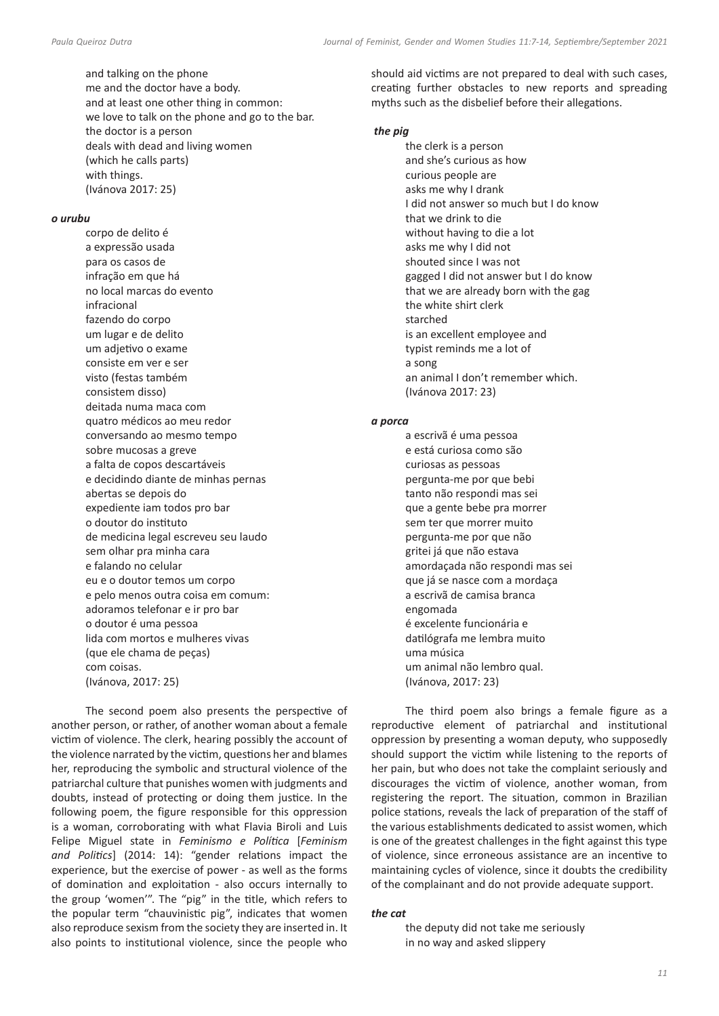and talking on the phone me and the doctor have a body. and at least one other thing in common: we love to talk on the phone and go to the bar. the doctor is a person deals with dead and living women (which he calls parts) with things. (Ivánova 2017: 25)

#### *o urubu*

corpo de delito é a expressão usada para os casos de infração em que há no local marcas do evento infracional fazendo do corpo um lugar e de delito um adjetivo o exame consiste em ver e ser visto (festas também consistem disso) deitada numa maca com quatro médicos ao meu redor conversando ao mesmo tempo sobre mucosas a greve a falta de copos descartáveis e decidindo diante de minhas pernas abertas se depois do expediente iam todos pro bar o doutor do instituto de medicina legal escreveu seu laudo sem olhar pra minha cara e falando no celular eu e o doutor temos um corpo e pelo menos outra coisa em comum: adoramos telefonar e ir pro bar o doutor é uma pessoa lida com mortos e mulheres vivas (que ele chama de peças) com coisas. (Ivánova, 2017: 25)

The second poem also presents the perspective of another person, or rather, of another woman about a female victim of violence. The clerk, hearing possibly the account of the violence narrated by the victim, questions her and blames her, reproducing the symbolic and structural violence of the patriarchal culture that punishes women with judgments and doubts, instead of protecting or doing them justice. In the following poem, the figure responsible for this oppression is a woman, corroborating with what Flavia Biroli and Luis Felipe Miguel state in *Feminismo e Política* [*Feminism and Politics*] (2014: 14): "gender relations impact the experience, but the exercise of power - as well as the forms of domination and exploitation - also occurs internally to the group 'women'". The "pig" in the title, which refers to the popular term "chauvinistic pig", indicates that women also reproduce sexism from the society they are inserted in. It also points to institutional violence, since the people who

should aid victims are not prepared to deal with such cases, creating further obstacles to new reports and spreading myths such as the disbelief before their allegations.

# *the pig*

the clerk is a person and she's curious as how curious people are asks me why I drank I did not answer so much but I do know that we drink to die without having to die a lot asks me why I did not shouted since I was not gagged I did not answer but I do know that we are already born with the gag the white shirt clerk starched is an excellent employee and typist reminds me a lot of a song an animal I don't remember which. (Ivánova 2017: 23)

#### *a porca*

a escrivã é uma pessoa e está curiosa como são curiosas as pessoas pergunta-me por que bebi tanto não respondi mas sei que a gente bebe pra morrer sem ter que morrer muito pergunta-me por que não gritei já que não estava amordaçada não respondi mas sei que já se nasce com a mordaça a escrivã de camisa branca engomada é excelente funcionária e datilógrafa me lembra muito uma música um animal não lembro qual. (Ivánova, 2017: 23)

The third poem also brings a female figure as a reproductive element of patriarchal and institutional oppression by presenting a woman deputy, who supposedly should support the victim while listening to the reports of her pain, but who does not take the complaint seriously and discourages the victim of violence, another woman, from registering the report. The situation, common in Brazilian police stations, reveals the lack of preparation of the staff of the various establishments dedicated to assist women, which is one of the greatest challenges in the fight against this type of violence, since erroneous assistance are an incentive to maintaining cycles of violence, since it doubts the credibility of the complainant and do not provide adequate support.

# *the cat*

the deputy did not take me seriously in no way and asked slippery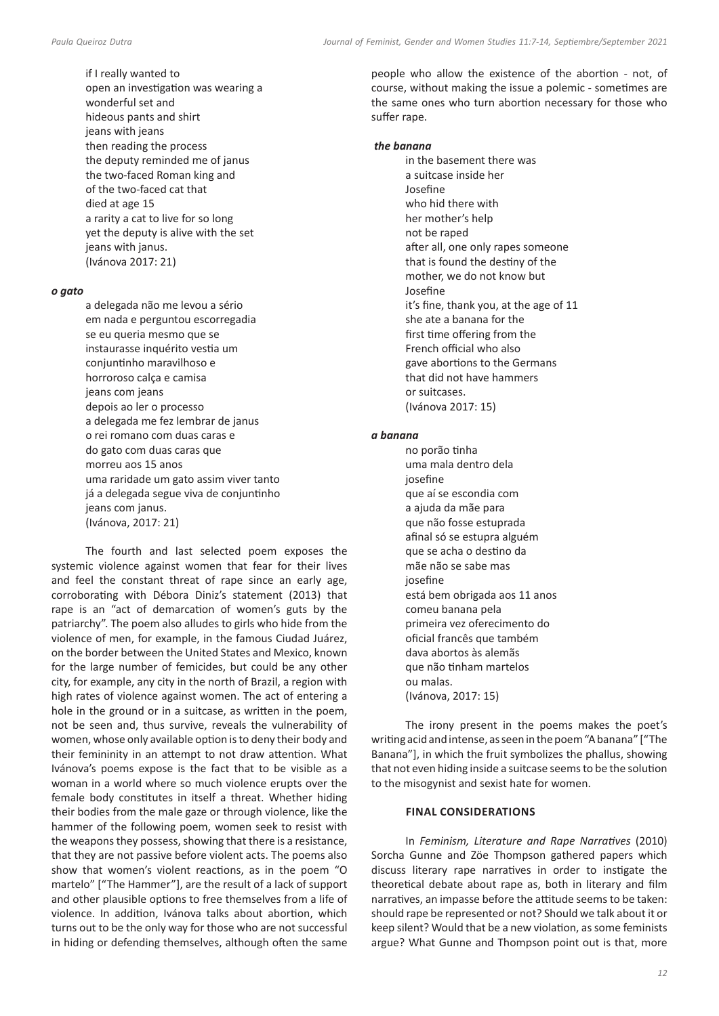if I really wanted to open an investigation was wearing a wonderful set and hideous pants and shirt jeans with jeans then reading the process the deputy reminded me of janus the two-faced Roman king and of the two-faced cat that died at age 15 a rarity a cat to live for so long yet the deputy is alive with the set jeans with janus. (Ivánova 2017: 21)

# *o gato*

a delegada não me levou a sério em nada e perguntou escorregadia se eu queria mesmo que se instaurasse inquérito vestia um conjuntinho maravilhoso e horroroso calça e camisa jeans com jeans depois ao ler o processo a delegada me fez lembrar de janus o rei romano com duas caras e do gato com duas caras que morreu aos 15 anos uma raridade um gato assim viver tanto já a delegada segue viva de conjuntinho jeans com janus. (Ivánova, 2017: 21)

The fourth and last selected poem exposes the systemic violence against women that fear for their lives and feel the constant threat of rape since an early age, corroborating with Débora Diniz's statement (2013) that rape is an "act of demarcation of women's guts by the patriarchy". The poem also alludes to girls who hide from the violence of men, for example, in the famous Ciudad Juárez, on the border between the United States and Mexico, known for the large number of femicides, but could be any other city, for example, any city in the north of Brazil, a region with high rates of violence against women. The act of entering a hole in the ground or in a suitcase, as written in the poem, not be seen and, thus survive, reveals the vulnerability of women, whose only available option is to deny their body and their femininity in an attempt to not draw attention. What Ivánova's poems expose is the fact that to be visible as a woman in a world where so much violence erupts over the female body constitutes in itself a threat. Whether hiding their bodies from the male gaze or through violence, like the hammer of the following poem, women seek to resist with the weapons they possess, showing that there is a resistance, that they are not passive before violent acts. The poems also show that women's violent reactions, as in the poem "O martelo" ["The Hammer"], are the result of a lack of support and other plausible options to free themselves from a life of violence. In addition, Ivánova talks about abortion, which turns out to be the only way for those who are not successful in hiding or defending themselves, although often the same

people who allow the existence of the abortion - not, of course, without making the issue a polemic - sometimes are the same ones who turn abortion necessary for those who suffer rape.

#### *the banana*

in the basement there was a suitcase inside her Josefine who hid there with her mother's help not be raped after all, one only rapes someone that is found the destiny of the mother, we do not know but Josefine it's fine, thank you, at the age of 11 she ate a banana for the first time offering from the French official who also gave abortions to the Germans that did not have hammers or suitcases. (Ivánova 2017: 15)

#### *a banana*

no porão tinha uma mala dentro dela josefine que aí se escondia com a ajuda da mãe para que não fosse estuprada afinal só se estupra alguém que se acha o destino da mãe não se sabe mas josefine está bem obrigada aos 11 anos comeu banana pela primeira vez oferecimento do oficial francês que também dava abortos às alemãs que não tinham martelos ou malas. (Ivánova, 2017: 15)

The irony present in the poems makes the poet's writing acidand intense, as seen in the poem"A banana" ["The Banana"], in which the fruit symbolizes the phallus, showing that not even hiding inside a suitcase seems to be the solution to the misogynist and sexist hate for women.

# **FINAL CONSIDERATIONS**

In *Feminism, Literature and Rape Narratives* (2010) Sorcha Gunne and Zöe Thompson gathered papers which discuss literary rape narratives in order to instigate the theoretical debate about rape as, both in literary and film narratives, an impasse before the attitude seems to be taken: should rape be represented or not? Should we talk about it or keep silent? Would that be a new violation, as some feminists argue? What Gunne and Thompson point out is that, more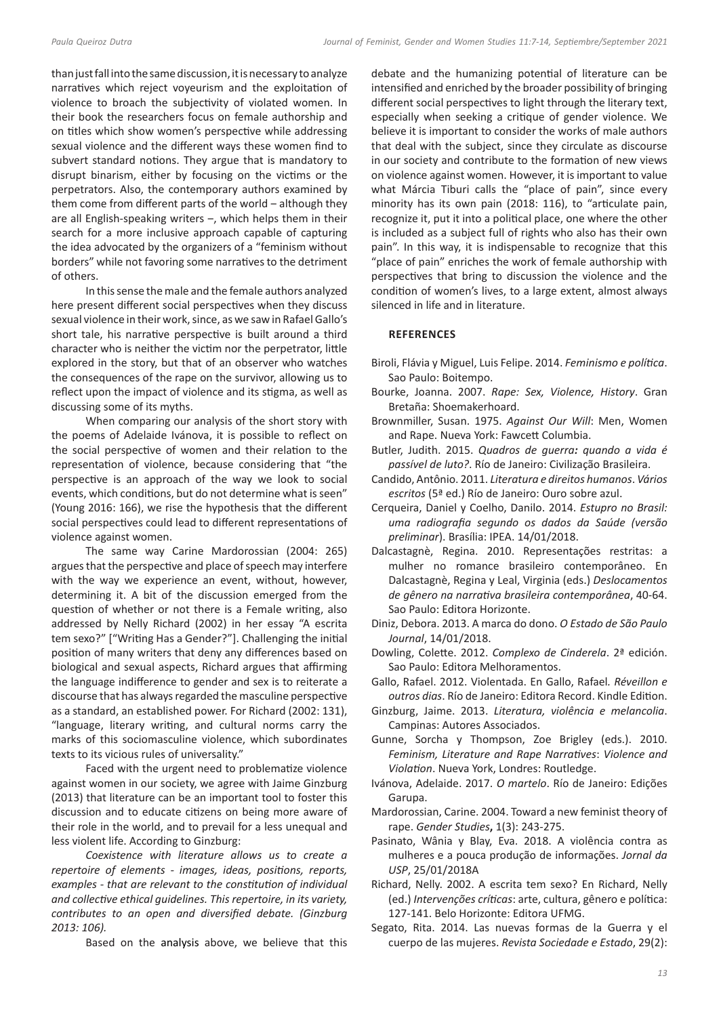than just fall into the same discussion, it is necessary to analyze narratives which reject voyeurism and the exploitation of violence to broach the subjectivity of violated women. In their book the researchers focus on female authorship and on titles which show women's perspective while addressing sexual violence and the different ways these women find to subvert standard notions. They argue that is mandatory to disrupt binarism, either by focusing on the victims or the perpetrators. Also, the contemporary authors examined by them come from different parts of the world  $-$  although they are all English-speaking writers  $-$ , which helps them in their search for a more inclusive approach capable of capturing the idea advocated by the organizers of a "feminism without borders" while not favoring some narratives to the detriment of others.

In this sense the male and the female authors analyzed here present different social perspectives when they discuss sexual violence in their work, since, as we saw in Rafael Gallo's short tale, his narrative perspective is built around a third character who is neither the victim nor the perpetrator, little explored in the story, but that of an observer who watches the consequences of the rape on the survivor, allowing us to reflect upon the impact of violence and its stigma, as well as discussing some of its myths.

When comparing our analysis of the short story with the poems of Adelaide Ivánova, it is possible to reflect on the social perspective of women and their relation to the representation of violence, because considering that "the perspective is an approach of the way we look to social events, which conditions, but do not determine what is seen" (Young 2016: 166), we rise the hypothesis that the different social perspectives could lead to different representations of violence against women.

The same way Carine Mardorossian (2004: 265) argues that the perspective and place of speech may interfere with the way we experience an event, without, however, determining it. A bit of the discussion emerged from the question of whether or not there is a Female writing, also addressed by Nelly Richard (2002) in her essay "A escrita tem sexo?" ["Writing Has a Gender?"]. Challenging the initial position of many writers that deny any differences based on biological and sexual aspects, Richard argues that affirming the language indifference to gender and sex is to reiterate a discourse that has always regarded the masculine perspective as a standard, an established power. For Richard (2002: 131), "language, literary writing, and cultural norms carry the marks of this sociomasculine violence, which subordinates texts to its vicious rules of universality."

Faced with the urgent need to problematize violence against women in our society, we agree with Jaime Ginzburg (2013) that literature can be an important tool to foster this discussion and to educate citizens on being more aware of their role in the world, and to prevail for a less unequal and less violent life. According to Ginzburg:

*Coexistence with literature allows us to create a repertoire of elements - images, ideas, positions, reports, examples - that are relevant to the constitution of individual and collective ethical guidelines. This repertoire, in its variety, contributes to an open and diversified debate. (Ginzburg 2013: 106).*

Based on the analysis above, we believe that this

debate and the humanizing potential of literature can be intensified and enriched by the broader possibility of bringing different social perspectives to light through the literary text, especially when seeking a critique of gender violence. We believe it is important to consider the works of male authors that deal with the subject, since they circulate as discourse in our society and contribute to the formation of new views on violence against women. However, it is important to value what Márcia Tiburi calls the "place of pain", since every minority has its own pain (2018: 116), to "articulate pain, recognize it, put it into a political place, one where the other is included as a subject full of rights who also has their own pain". In this way, it is indispensable to recognize that this "place of pain" enriches the work of female authorship with perspectives that bring to discussion the violence and the condition of women's lives, to a large extent, almost always silenced in life and in literature.

# **REFERENCES**

- Biroli, Flávia y Miguel, Luis Felipe. 2014. *Feminismo e política*. Sao Paulo: Boitempo.
- Bourke, Joanna. 2007. *Rape: Sex, Violence, History*. Gran Bretaña: Shoemakerhoard.
- Brownmiller, Susan. 1975. *Against Our Will*: Men, Women and Rape. Nueva York: Fawcett Columbia.
- Butler, Judith. 2015. *Quadros de guerra: quando a vida é passível de luto?*. Río de Janeiro: Civilização Brasileira.
- Candido, Antônio. 2011. *Literatura e direitos humanos*. *Vários escritos* (5ª ed.) Río de Janeiro: Ouro sobre azul.
- Cerqueira, Daniel y Coelho, Danilo. 2014. *Estupro no Brasil: uma radiografia segundo os dados da Saúde (versão preliminar*). Brasília: IPEA. 14/01/2018.
- Dalcastagnè, Regina. 2010. Representações restritas: a mulher no romance brasileiro contemporâneo. En Dalcastagnè, Regina y Leal, Virginia (eds.) *Deslocamentos de gênero na narrativa brasileira contemporânea*, 40-64. Sao Paulo: Editora Horizonte.
- Diniz, Debora. 2013. A marca do dono. *O Estado de São Paulo Journal*, 14/01/2018.
- Dowling, Colette. 2012. *Complexo de Cinderela*. 2ª edición. Sao Paulo: Editora Melhoramentos.
- Gallo, Rafael. 2012. Violentada. En Gallo, Rafael*. Réveillon e outros dias*. Río de Janeiro: Editora Record. Kindle Edition.
- Ginzburg, Jaime. 2013. *Literatura, violência e melancolia*. Campinas: Autores Associados.
- Gunne, Sorcha y Thompson, Zoe Brigley (eds.). 2010. *Feminism, Literature and Rape Narratives*: *Violence and Violation*. Nueva York, Londres: Routledge.
- Ivánova, Adelaide. 2017. *O martelo*. Río de Janeiro: Edições Garupa.
- Mardorossian, Carine. 2004. Toward a new feminist theory of rape. *Gender Studies***,** 1(3): 243-275.
- Pasinato, Wânia y Blay, Eva. 2018. A violência contra as mulheres e a pouca produção de informações. *Jornal da USP*, 25/01/2018A
- Richard, Nelly. 2002. A escrita tem sexo? En Richard, Nelly (ed.) *Intervenções críticas*: arte, cultura, gênero e política: 127-141. Belo Horizonte: Editora UFMG.
- Segato, Rita. 2014. Las nuevas formas de la Guerra y el cuerpo de las mujeres. *Revista Sociedade e Estado*, 29(2):